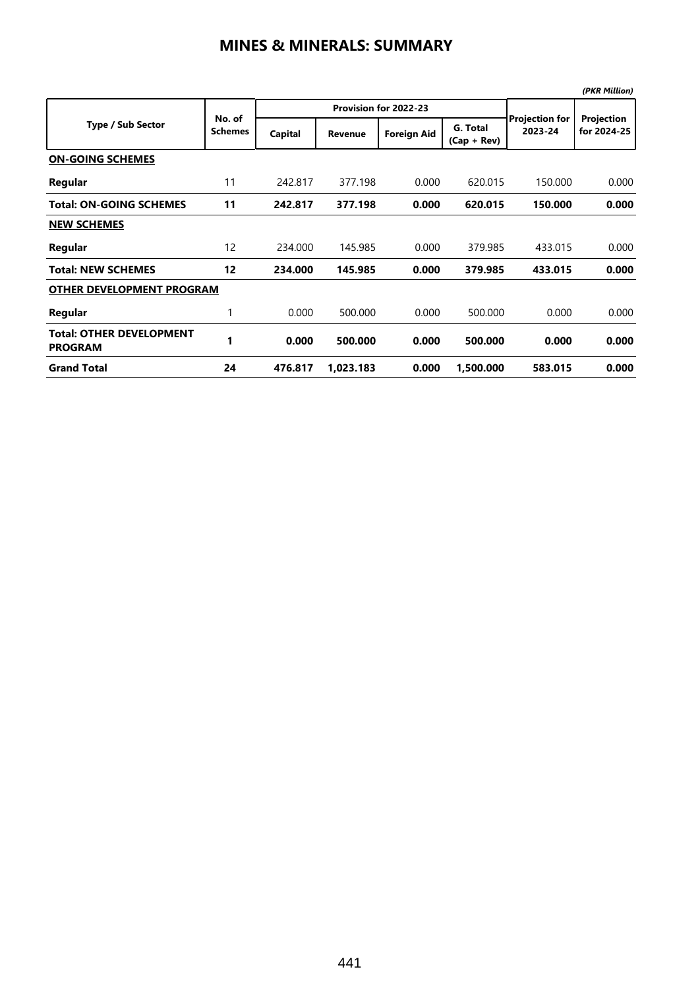|                                                   |                          |         |                       |                    |                           |                                  | (PKR Million)             |  |  |  |
|---------------------------------------------------|--------------------------|---------|-----------------------|--------------------|---------------------------|----------------------------------|---------------------------|--|--|--|
|                                                   | No. of<br><b>Schemes</b> |         | Provision for 2022-23 |                    |                           |                                  |                           |  |  |  |
| <b>Type / Sub Sector</b>                          |                          | Capital | <b>Revenue</b>        | <b>Foreign Aid</b> | G. Total<br>$(Cap + Rev)$ | <b>Projection for</b><br>2023-24 | Projection<br>for 2024-25 |  |  |  |
| <b>ON-GOING SCHEMES</b>                           |                          |         |                       |                    |                           |                                  |                           |  |  |  |
| Regular                                           | 11                       | 242.817 | 377.198               | 0.000              | 620.015                   | 150.000                          | 0.000                     |  |  |  |
| <b>Total: ON-GOING SCHEMES</b>                    | 11                       | 242.817 | 377.198               | 0.000              | 620.015                   | 150.000                          | 0.000                     |  |  |  |
| <b>NEW SCHEMES</b>                                |                          |         |                       |                    |                           |                                  |                           |  |  |  |
| Regular                                           | 12                       | 234.000 | 145.985               | 0.000              | 379.985                   | 433.015                          | 0.000                     |  |  |  |
| <b>Total: NEW SCHEMES</b>                         | 12                       | 234.000 | 145.985               | 0.000              | 379.985                   | 433.015                          | 0.000                     |  |  |  |
| <b>OTHER DEVELOPMENT PROGRAM</b>                  |                          |         |                       |                    |                           |                                  |                           |  |  |  |
| Regular                                           | 1                        | 0.000   | 500.000               | 0.000              | 500.000                   | 0.000                            | 0.000                     |  |  |  |
| <b>Total: OTHER DEVELOPMENT</b><br><b>PROGRAM</b> | 1                        | 0.000   | 500.000               | 0.000              | 500.000                   | 0.000                            | 0.000                     |  |  |  |
| <b>Grand Total</b>                                | 24                       | 476.817 | 1,023.183             | 0.000              | 1,500.000                 | 583.015                          | 0.000                     |  |  |  |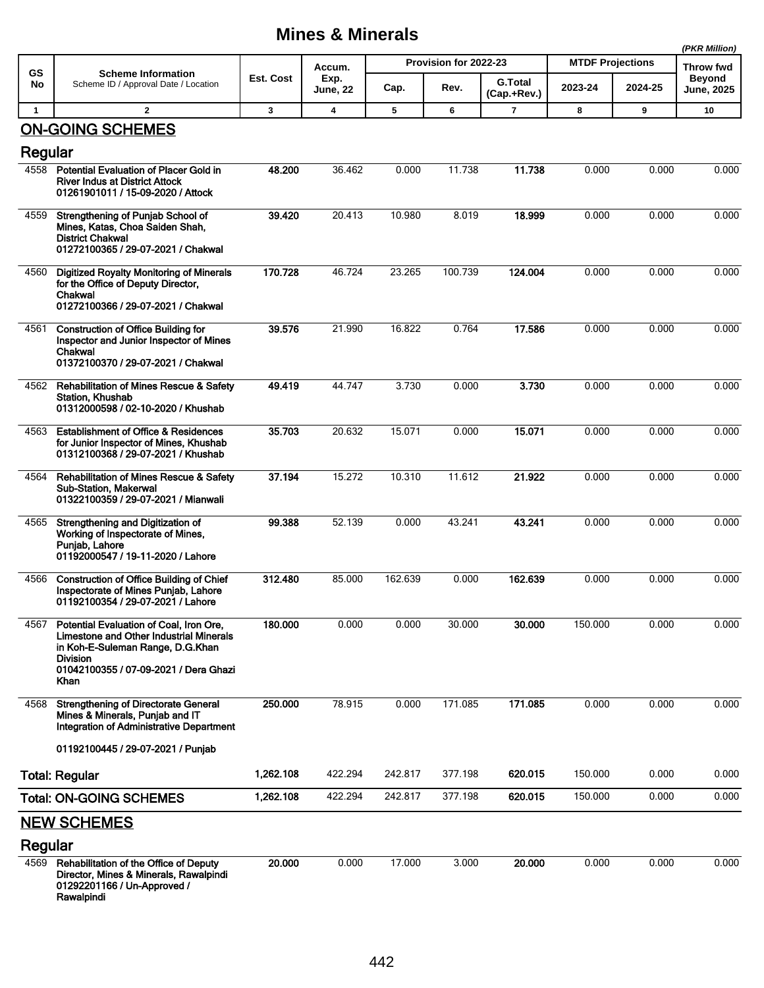## **Mines & Minerals**

|                    |                                                                                                                                                                                                   |              |                                   |                       |         |                |                         | (PKR Million) |                                   |
|--------------------|---------------------------------------------------------------------------------------------------------------------------------------------------------------------------------------------------|--------------|-----------------------------------|-----------------------|---------|----------------|-------------------------|---------------|-----------------------------------|
| GS<br>No           | <b>Scheme Information</b><br>Scheme ID / Approval Date / Location                                                                                                                                 | Est. Cost    | Accum.<br>Exp.<br><b>June, 22</b> | Provision for 2022-23 |         | <b>G.Total</b> | <b>MTDF Projections</b> |               | <b>Throw fwd</b><br><b>Beyond</b> |
|                    |                                                                                                                                                                                                   |              |                                   | Cap.                  | Rev.    | (Cap.+Rev.)    | 2023-24                 | 2024-25       | <b>June, 2025</b>                 |
| $\mathbf{1}$       | $\overline{2}$                                                                                                                                                                                    | $\mathbf{3}$ | 4                                 | 5                     | 6       | $\mathbf{7}$   | 8                       | 9             | 10                                |
|                    | <b>ON-GOING SCHEMES</b>                                                                                                                                                                           |              |                                   |                       |         |                |                         |               |                                   |
| Regular            |                                                                                                                                                                                                   |              |                                   |                       |         |                |                         |               |                                   |
| 4558               | <b>Potential Evaluation of Placer Gold in</b><br><b>River Indus at District Attock</b><br>01261901011 / 15-09-2020 / Attock                                                                       | 48.200       | 36.462                            | 0.000                 | 11.738  | 11.738         | 0.000                   | 0.000         | 0.000                             |
| 4559               | Strengthening of Punjab School of<br>Mines, Katas, Choa Saiden Shah,<br><b>District Chakwal</b><br>01272100365 / 29-07-2021 / Chakwal                                                             | 39.420       | 20.413                            | 10.980                | 8.019   | 18.999         | 0.000                   | 0.000         | 0.000                             |
| 4560               | <b>Digitized Royalty Monitoring of Minerals</b><br>for the Office of Deputy Director,<br>Chakwal<br>01272100366 / 29-07-2021 / Chakwal                                                            | 170.728      | 46.724                            | 23.265                | 100.739 | 124.004        | 0.000                   | 0.000         | 0.000                             |
| 4561               | <b>Construction of Office Building for</b><br>Inspector and Junior Inspector of Mines<br>Chakwal<br>01372100370 / 29-07-2021 / Chakwal                                                            | 39.576       | 21.990                            | 16.822                | 0.764   | 17.586         | 0.000                   | 0.000         | 0.000                             |
| 4562               | <b>Rehabilitation of Mines Rescue &amp; Safety</b><br><b>Station, Khushab</b><br>01312000598 / 02-10-2020 / Khushab                                                                               | 49.419       | 44.747                            | 3.730                 | 0.000   | 3.730          | 0.000                   | 0.000         | 0.000                             |
| 4563               | <b>Establishment of Office &amp; Residences</b><br>for Junior Inspector of Mines, Khushab<br>01312100368 / 29-07-2021 / Khushab                                                                   | 35.703       | 20.632                            | 15.071                | 0.000   | 15.071         | 0.000                   | 0.000         | 0.000                             |
| 4564               | <b>Rehabilitation of Mines Rescue &amp; Safety</b><br>Sub-Station, Makerwal<br>01322100359 / 29-07-2021 / Mianwali                                                                                | 37.194       | 15.272                            | 10.310                | 11.612  | 21.922         | 0.000                   | 0.000         | 0.000                             |
| 4565               | Strengthening and Digitization of<br>Working of Inspectorate of Mines,<br>Punjab, Lahore<br>01192000547 / 19-11-2020 / Lahore                                                                     | 99.388       | 52.139                            | 0.000                 | 43.241  | 43.241         | 0.000                   | 0.000         | 0.000                             |
| 4566               | <b>Construction of Office Building of Chief</b><br>Inspectorate of Mines Punjab, Lahore<br>01192100354 / 29-07-2021 / Lahore                                                                      | 312.480      | 85.000                            | 162.639               | 0.000   | 162.639        | 0.000                   | 0.000         | 0.000                             |
| 4567               | Potential Evaluation of Coal, Iron Ore,<br><b>Limestone and Other Industrial Minerals</b><br>in Koh-E-Suleman Range, D.G.Khan<br><b>Division</b><br>01042100355 / 07-09-2021 / Dera Ghazi<br>Khan | 180.000      | 0.000                             | 0.000                 | 30.000  | 30.000         | 150.000                 | 0.000         | 0.000                             |
| 4568               | <b>Strengthening of Directorate General</b><br>Mines & Minerals, Punjab and IT<br>Integration of Administrative Department                                                                        | 250.000      | 78.915                            | 0.000                 | 171.085 | 171.085        | 0.000                   | 0.000         | 0.000                             |
|                    | 01192100445 / 29-07-2021 / Puniab                                                                                                                                                                 |              |                                   |                       |         |                |                         |               |                                   |
|                    | <b>Total: Regular</b>                                                                                                                                                                             | 1,262.108    | 422.294                           | 242.817               | 377.198 | 620.015        | 150.000                 | 0.000         | 0.000                             |
|                    | <b>Total: ON-GOING SCHEMES</b>                                                                                                                                                                    | 1,262.108    | 422.294                           | 242.817               | 377.198 | 620.015        | 150.000                 | 0.000         | 0.000                             |
| <b>NEW SCHEMES</b> |                                                                                                                                                                                                   |              |                                   |                       |         |                |                         |               |                                   |
| Regular            |                                                                                                                                                                                                   |              |                                   |                       |         |                |                         |               |                                   |
| 4569               | Rehabilitation of the Office of Deputy<br>Director, Mines & Minerals, Rawalpindi<br>01292201166 / Un-Approved /<br>Rawalpindi                                                                     | 20.000       | 0.000                             | 17.000                | 3.000   | 20.000         | 0.000                   | 0.000         | 0.000                             |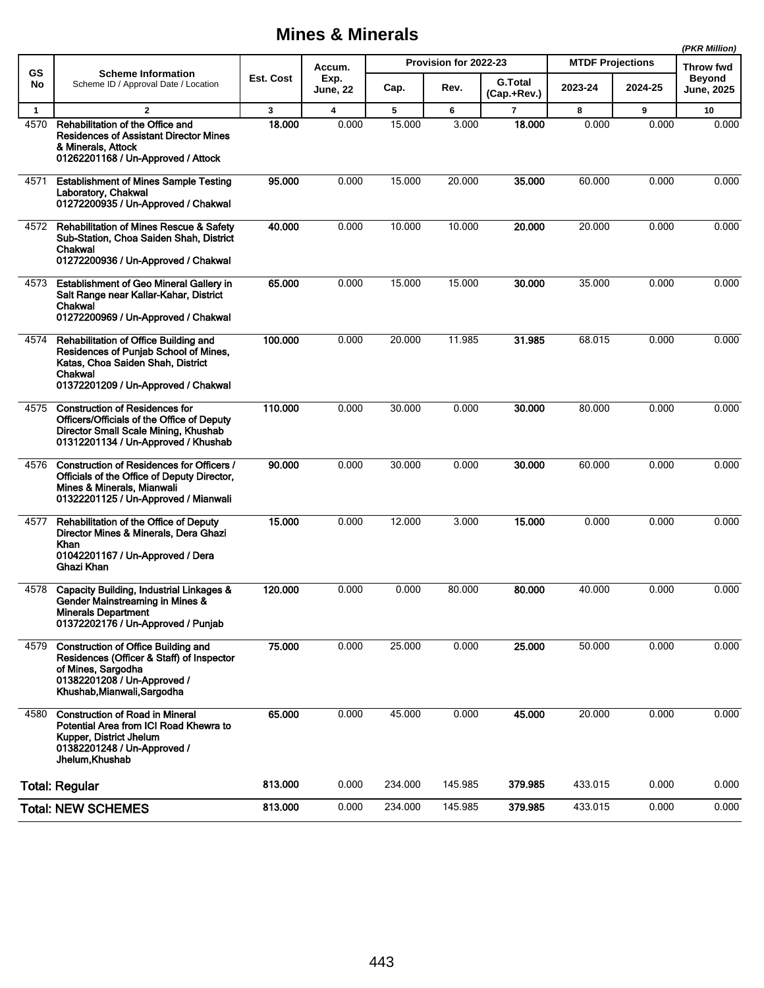## **Mines & Minerals**

|              |                                                                                                                                                                             |           |                                   |                       |         |                               |                         |         | (PKR Million)                      |
|--------------|-----------------------------------------------------------------------------------------------------------------------------------------------------------------------------|-----------|-----------------------------------|-----------------------|---------|-------------------------------|-------------------------|---------|------------------------------------|
| GS<br>No     | <b>Scheme Information</b><br>Scheme ID / Approval Date / Location                                                                                                           | Est. Cost | Accum.<br>Exp.<br><b>June, 22</b> | Provision for 2022-23 |         |                               | <b>MTDF Projections</b> |         | Throw fwd                          |
|              |                                                                                                                                                                             |           |                                   | Cap.                  | Rev.    | <b>G.Total</b><br>(Cap.+Rev.) | 2023-24                 | 2024-25 | <b>Beyond</b><br><b>June, 2025</b> |
| $\mathbf{1}$ | $\mathbf{2}$                                                                                                                                                                | 3         | 4                                 | 5                     | 6       | $\overline{7}$                | 8                       | 9       | 10                                 |
| 4570         | Rehabilitation of the Office and<br><b>Residences of Assistant Director Mines</b><br>& Minerals, Attock<br>01262201168 / Un-Approved / Attock                               | 18.000    | 0.000                             | 15.000                | 3.000   | 18.000                        | 0.000                   | 0.000   | 0.000                              |
| 4571         | <b>Establishment of Mines Sample Testing</b><br>Laboratory, Chakwal<br>01272200935 / Un-Approved / Chakwal                                                                  | 95.000    | 0.000                             | 15.000                | 20.000  | 35.000                        | 60.000                  | 0.000   | 0.000                              |
| 4572         | <b>Rehabilitation of Mines Rescue &amp; Safety</b><br>Sub-Station, Choa Saiden Shah, District<br>Chakwal<br>01272200936 / Un-Approved / Chakwal                             | 40.000    | 0.000                             | 10.000                | 10.000  | 20.000                        | 20.000                  | 0.000   | 0.000                              |
| 4573         | <b>Establishment of Geo Mineral Gallery in</b><br>Salt Range near Kallar-Kahar, District<br>Chakwal<br>01272200969 / Un-Approved / Chakwal                                  | 65.000    | 0.000                             | 15.000                | 15.000  | 30.000                        | 35.000                  | 0.000   | 0.000                              |
| 4574         | Rehabilitation of Office Building and<br>Residences of Punjab School of Mines,<br>Katas, Choa Saiden Shah, District<br>Chakwal<br>01372201209 / Un-Approved / Chakwal       | 100.000   | 0.000                             | 20.000                | 11.985  | 31.985                        | 68.015                  | 0.000   | 0.000                              |
| 4575         | <b>Construction of Residences for</b><br>Officers/Officials of the Office of Deputy<br>Director Small Scale Mining, Khushab<br>01312201134 / Un-Approved / Khushab          | 110.000   | 0.000                             | 30.000                | 0.000   | 30,000                        | 80.000                  | 0.000   | 0.000                              |
| 4576         | Construction of Residences for Officers /<br>Officials of the Office of Deputy Director,<br>Mines & Minerals, Mianwali<br>01322201125 / Un-Approved / Mianwali              | 90.000    | 0.000                             | 30.000                | 0.000   | 30,000                        | 60.000                  | 0.000   | 0.000                              |
| 4577         | Rehabilitation of the Office of Deputy<br>Director Mines & Minerals, Dera Ghazi<br>Khan<br>01042201167 / Un-Approved / Dera<br>Ghazi Khan                                   | 15.000    | 0.000                             | 12.000                | 3.000   | 15.000                        | 0.000                   | 0.000   | 0.000                              |
| 4578         | Capacity Building, Industrial Linkages &<br>Gender Mainstreaming in Mines &<br><b>Minerals Department</b><br>01372202176 / Un-Approved / Punjab                             | 120.000   | 0.000                             | 0.000                 | 80.000  | 80.000                        | 40.000                  | 0.000   | 0.000                              |
| 4579         | <b>Construction of Office Building and</b><br>Residences (Officer & Staff) of Inspector<br>of Mines, Sargodha<br>01382201208 / Un-Approved /<br>Khushab, Mianwali, Sargodha | 75.000    | 0.000                             | 25.000                | 0.000   | 25.000                        | 50.000                  | 0.000   | 0.000                              |
| 4580         | <b>Construction of Road in Mineral</b><br>Potential Area from ICI Road Khewra to<br>Kupper, District Jhelum<br>01382201248 / Un-Approved /<br>Jhelum Khushab                | 65.000    | 0.000                             | 45.000                | 0.000   | 45.000                        | 20.000                  | 0.000   | 0.000                              |
|              | <b>Total: Regular</b>                                                                                                                                                       | 813.000   | 0.000                             | 234.000               | 145.985 | 379.985                       | 433.015                 | 0.000   | 0.000                              |
|              | <b>Total: NEW SCHEMES</b>                                                                                                                                                   | 813.000   | 0.000                             | 234.000               | 145.985 | 379.985                       | 433.015                 | 0.000   | 0.000                              |